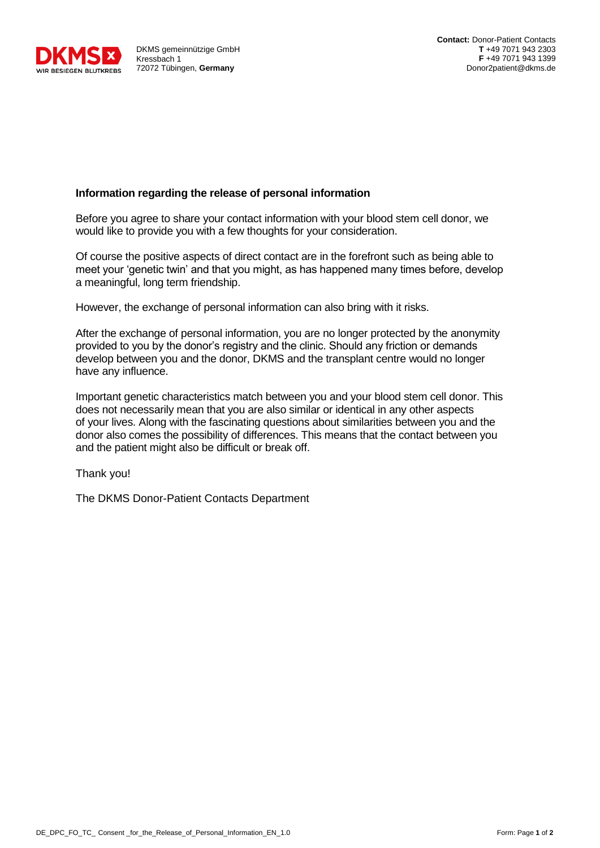

DKMS gemeinnützige GmbH Kressbach 1 72072 Tübingen, **Germany**

## **Information regarding the release of personal information**

Before you agree to share your contact information with your blood stem cell donor, we would like to provide you with a few thoughts for your consideration.

Of course the positive aspects of direct contact are in the forefront such as being able to meet your 'genetic twin' and that you might, as has happened many times before, develop a meaningful, long term friendship.

However, the exchange of personal information can also bring with it risks.

After the exchange of personal information, you are no longer protected by the anonymity provided to you by the donor's registry and the clinic. Should any friction or demands develop between you and the donor, DKMS and the transplant centre would no longer have any influence.

Important genetic characteristics match between you and your blood stem cell donor. This does not necessarily mean that you are also similar or identical in any other aspects of your lives. Along with the fascinating questions about similarities between you and the donor also comes the possibility of differences. This means that the contact between you and the patient might also be difficult or break off.

Thank you!

The DKMS Donor-Patient Contacts Department